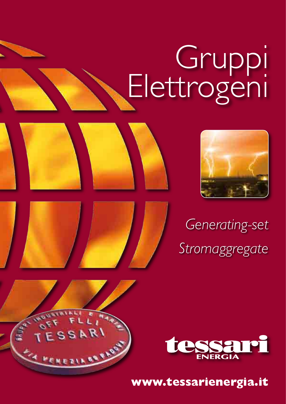# Gruppi Elettrogeni





*Generating-set Stromaggregate*





**www.tessarienergia.it**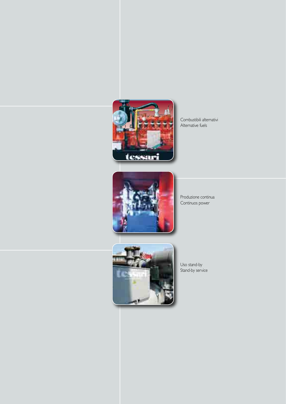

Combustibili alternativi Alternative fuels



Produzione continua Continuos power



Uso stand-by Stand-by service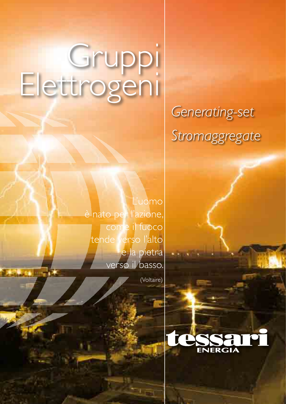# Gruppi Elettrogeni

## *Generating-set Stromaggregate*

L'uomo è nato per l'azione, come il fuoco tende verso l'alto e la pietra verso il basso.

(Voltaire)

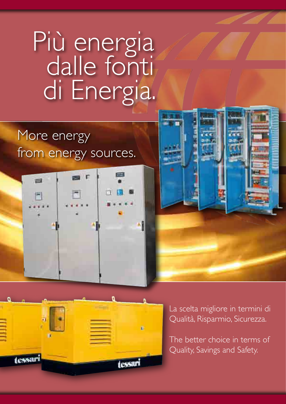# Più energia dalle fonti di Energia.

### More energy from energy sources.







La scelta migliore in termini di Qualità, Risparmio, Sicurezza.

The better choice in terms of Quality, Savings and Safety.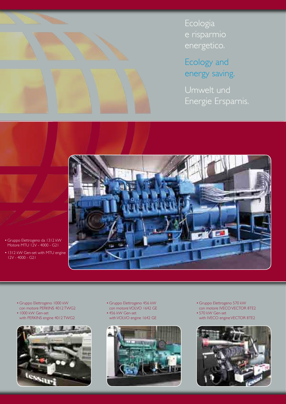

**Ecologia** e risparmio energetico.

Ecology and energy saving.

Umwelt und Energie Ersparnis.



- Gruppo Elettrogeno da 1312 kW Motore MTU 12V - 4000 - G21
- 1312 kW Gen-set with MTU engine 12V - 4000 - G21
	- Gruppo Elettrogeno 1000 kW con motore PERKINS 4012 TWG2 • 1000 kW Gen-set
	- with PERKINS engine 4012 TWG2



• Gruppo Elettrogeno 456 kW con motore VOLVO 1642 GE • 456 kW Gen-set with VOLVO engine 1642 GE



- Gruppo Elettrogeno 570 kW con motore IVECO VECTOR 8TE2
- 570 kW Gen-set with IVECO engine VECTOR 8TE2

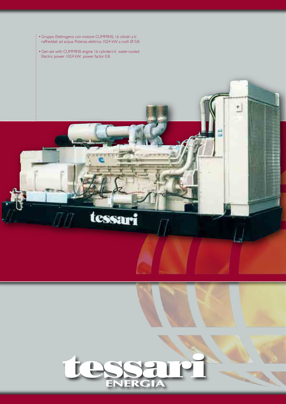• Gruppo Elettrogeno con motore CUMMINS, 16 cilindri a V, raffreddati ad acqua. Potenza elettrica 1024 kW. a cosfi Ø 0,8.

• Gen-set with CUMMINS engine 16 cylinders V, water-cooled Electric power 1024 kW. power factor 0,8.



tessari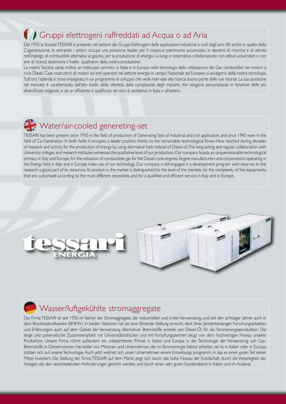#### Gruppi elettrogeni raffreddati ad Acqua o ad Aria

Dal 1950 la Società TESSARI è presente nel settore dei Gruppi Elettrogeni delle applicazioni industriali e civili dagli anni '80 anche in quello della Cogenerazione. In entrambi i settori occupa una posizione leader, per il cospicuo patrimonio accumulato in decenni di ricerche e di attività nell'impiego di combustibili alternativi al gasolio, per la produzione di energia. La lunga e sistematica collaborazione con istituti universitari e con enti di ricerca testimonia il livello qualitativo della nostra produzione.

La nostra Società vanta inoltre un indiscusso primato in Italia e in Europa nella tecnologia della utilizzazione dei Gas combustibili nei motori a ciclo Diesel. Case costruttrici di motori ed enti operanti nel settore energia in campo Nazionale ed Europeo si avvalgono della nostra tecnologia. Tutt'ora l'azienda si trova impegnata in un programma di sviluppo che vede riservate alla ricerca buona parte delle sue risorse. La sua posizione nel mercato è caratterizzata dall'alto livello della clientela, dalla complessità degli impianti, che vengono personalizzati in funzione delle più diversificate esigenze, e da un efficiente e qualificato servizio di assistenza in Italia e all'estero.

### Water/air-cooled genereting-set

TESSARI has been present since 1950 in the field of production of Generating Sets of industrial and civil application, and since 1980 even in the field of Co-Generation. In both fields it occupies a leader position, thanks to the remarkable technological Know-How reached during decades of research and activity for the production of energy by using alternative fuels instead of Diesel oil. The long-lasting and regular collaboration with University colleges and research institutes witnesses the qualitative level of our production. Our company boasts an unquenstionable technological primacy in Italy and Europe, for the utilization of combustible gas for the Diesel-cycle engines. Engine manufacturers and corporations operating in the Energy field, in Italy and in Europe make use of our technology. Our company is still engaged in a development program wich reserves to the research a good part of its resources. Its position in the market is distinguished for the level of the clientele, for the complexity of the equipments, that are customade according to the most different necessities, and for a qualified and efficient service in Italy and in Europe.





#### Wasser/luftgekühlte stromaggregate

Die Firma TESSARI ist seit 1950 im Sektor der Stromaggregate, der industriellen und zivilen Verwendung, und seit den achtiziger Jahren auch in dem Blockheizkraftwerke (BHKW). In beiden Sektoren hat sie eine führende Stellung erreicht, dank ihrer Jahrzentenlangen Forschungsarbeiten, und Erfahrungen, auch auf dem Gebiet der Verwendung alternativer Brennstoffe anstelle von Diesel-Öl, für die Stromenergieproduktion. Die lange und systematische Zusammenarbeit mit Universitätinstituten und mit Vorschungszentren zeugt von dem hochvertigen Niveau unserer Produktion. Unsere Firma rühmt außerdem ein unbestrittenes Primat in Italien und Europa in der Technologie der Verwendung von Gas-Brennstoffe in Dieselmotoren. Hersteller von Motoren und Unternehmen, die im Stromenergie-Sektor arbeiten, sei es in Italien oder in Europa, stützen sich auf unsere Technologie. Auch jetzt widmet sich unser Unternehmen einem Entwiklungs programm, in das es einen guten Tell seiner Mittel investiert. Die Stellung der Firma TESSARI auf dem Markt zeigt sich durch das hohe Niveau der Kundschaft, durch die Vielseitigkeit der Anlagen, die den verschiedensten Anforderungen gerecht werden, und durch einen sehr guten Kundendienst in Italien und im Ausland.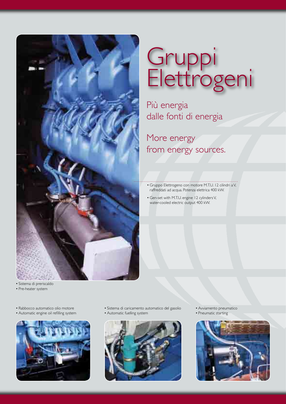

# Gruppi Elettrogeni

Più energia dalle fonti di energia

More energy from energy sources.

- Gruppo Elettrogeno con motore M.T.U. 12 cilindri a V, raffreddati ad acqua. Potenza elettrica 400 kW.
- Gen-set with M.T.U. engine 12 cylinders V, water-cooled electric output 400 kW.

- Sistema di preriscaldo
- Pre-heater system
- Rabbocco automatico olio motore
- Automatic engine oil refilling system



- Sistema di caricamento automatico del gasolio
- Automatic fuelling system



- Avviamento pneumatico
- Pneumatic starting

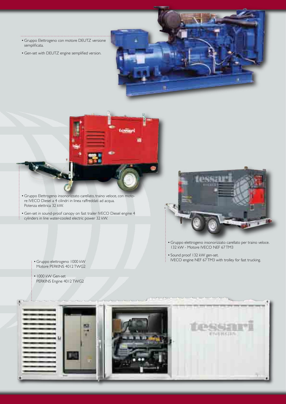- Gruppo Elettrogeno con motore DEUTZ versione semplificata.
- Gen-set with DEUTZ engine semplified version.

 $\ddotsc$ 





- Gruppo Elettrogeno insonorizzato carellato, traino veloce, con motore IVECO Diesel a 4 cilindri in linea raffreddati ad acqua. Potenza elettrica 32 kW.
- Gen-set in sound-proof canopy on fast trailer IVECO Diesel engine 4 cylinders in line water-cooled electric power 32 kW.

: • Gruppo elettrogeno 1000 kW<br>| Motore PERKINS 4012 TWG2

PERKINS Engine 4012 TWG2

• 1000 kW Gen-set



- Gruppo elettrogeno insonorizzato carellato per traino veloce. 132 kW - Motore IVECO NEF 67 TM3
- Sound proof 132 kW gen-set. IVECO engine NEF 67 TM3 with trolley for fast trucking. • Gruppo elettrogeno 1000 kW